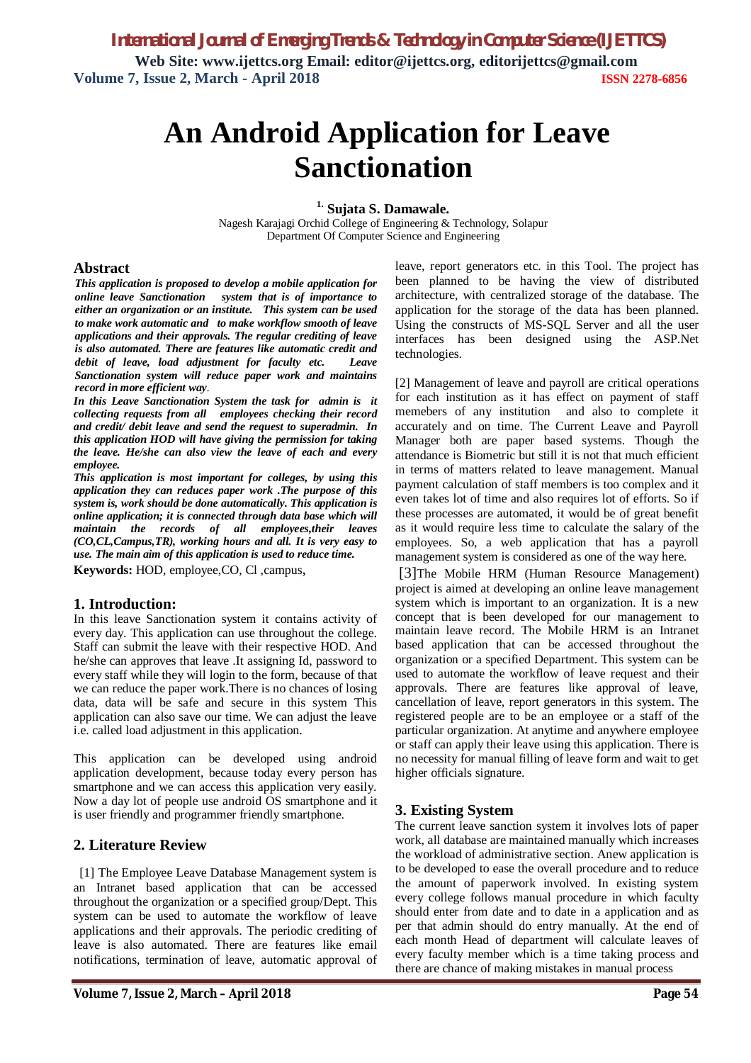# **An Android Application for Leave Sanctionation**

**1. Sujata S. Damawale.**

Nagesh Karajagi Orchid College of Engineering & Technology, Solapur Department Of Computer Science and Engineering

#### **Abstract**

*This application is proposed to develop a mobile application for online leave Sanctionation system that is of importance to either an organization or an institute. This system can be used to make work automatic and to make workflow smooth of leave applications and their approvals. The regular crediting of leave is also automated. There are features like automatic credit and debit of leave, load adjustment for faculty etc. Leave Sanctionation system will reduce paper work and maintains record in more efficient way.*

*In this Leave Sanctionation System the task for admin is it collecting requests from all employees checking their record and credit/ debit leave and send the request to superadmin. In this application HOD will have giving the permission for taking the leave. He/she can also view the leave of each and every employee.*

*This application is most important for colleges, by using this application they can reduces paper work .The purpose of this system is, work should be done automatically. This application is online application; it is connected through data base which will maintain the records of all employees,their leaves (CO,CL,Campus,TR), working hours and all. It is very easy to use. The main aim of this application is used to reduce time.*

**Keywords:** HOD, employee,CO, Cl ,campus,

#### **1. Introduction:**

In this leave Sanctionation system it contains activity of every day. This application can use throughout the college. Staff can submit the leave with their respective HOD. And he/she can approves that leave .It assigning Id, password to every staff while they will login to the form, because of that we can reduce the paper work.There is no chances of losing data, data will be safe and secure in this system This application can also save our time. We can adjust the leave i.e. called load adjustment in this application.

This application can be developed using android application development, because today every person has smartphone and we can access this application very easily. Now a day lot of people use android OS smartphone and it is user friendly and programmer friendly smartphone.

# **2. Literature Review**

 [1] The Employee Leave Database Management system is an Intranet based application that can be accessed throughout the organization or a specified group/Dept. This system can be used to automate the workflow of leave applications and their approvals. The periodic crediting of leave is also automated. There are features like email notifications, termination of leave, automatic approval of leave, report generators etc. in this Tool. The project has been planned to be having the view of distributed architecture, with centralized storage of the database. The application for the storage of the data has been planned. Using the constructs of MS-SQL Server and all the user interfaces has been designed using the ASP.Net technologies.

[2] Management of leave and payroll are critical operations for each institution as it has effect on payment of staff memebers of any institution and also to complete it accurately and on time. The Current Leave and Payroll Manager both are paper based systems. Though the attendance is Biometric but still it is not that much efficient in terms of matters related to leave management. Manual payment calculation of staff members is too complex and it even takes lot of time and also requires lot of efforts. So if these processes are automated, it would be of great benefit as it would require less time to calculate the salary of the employees. So, a web application that has a payroll management system is considered as one of the way here.

[3]The Mobile HRM (Human Resource Management) project is aimed at developing an online leave management system which is important to an organization. It is a new concept that is been developed for our management to maintain leave record. The Mobile HRM is an Intranet based application that can be accessed throughout the organization or a specified Department. This system can be used to automate the workflow of leave request and their approvals. There are features like approval of leave, cancellation of leave, report generators in this system. The registered people are to be an employee or a staff of the particular organization. At anytime and anywhere employee or staff can apply their leave using this application. There is no necessity for manual filling of leave form and wait to get higher officials signature.

# **3. Existing System**

The current leave sanction system it involves lots of paper work, all database are maintained manually which increases the workload of administrative section. Anew application is to be developed to ease the overall procedure and to reduce the amount of paperwork involved. In existing system every college follows manual procedure in which faculty should enter from date and to date in a application and as per that admin should do entry manually. At the end of each month Head of department will calculate leaves of every faculty member which is a time taking process and there are chance of making mistakes in manual process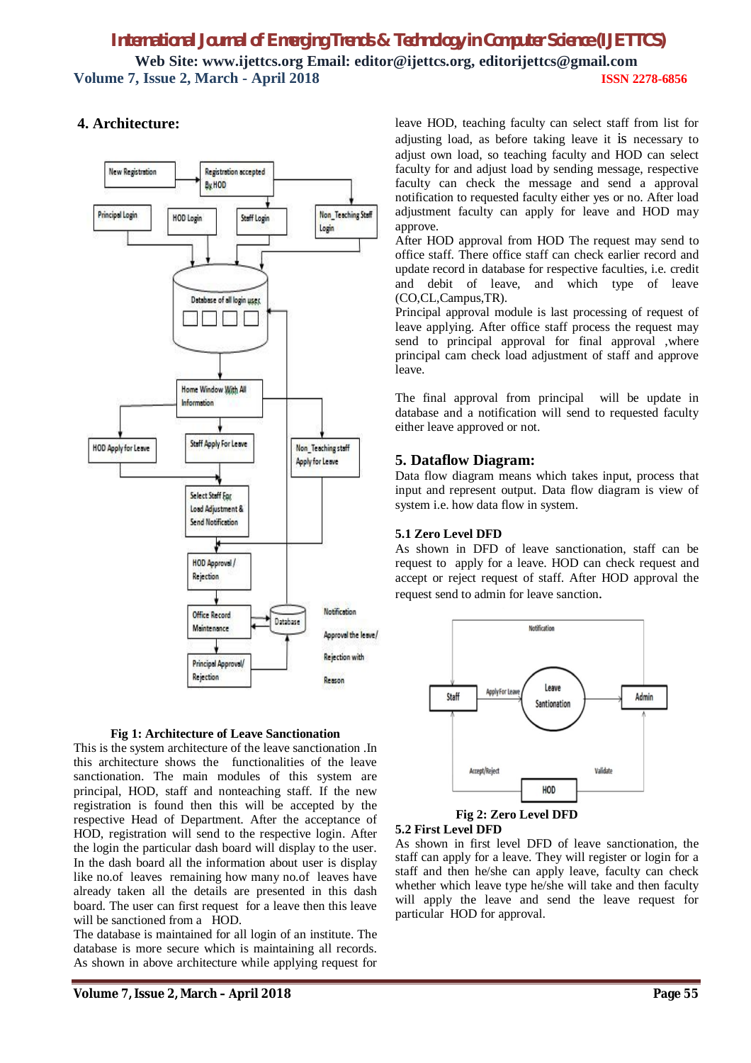# *International Journal of Emerging Trends & Technology in Computer Science (IJETTCS)* **Web Site: www.ijettcs.org Email: editor@ijettcs.org, editorijettcs@gmail.com Volume 7, Issue 2, March - April 2018 ISSN 2278-6856**

# **4. Architecture:**



#### **Fig 1: Architecture of Leave Sanctionation**

This is the system architecture of the leave sanctionation .In this architecture shows the functionalities of the leave sanctionation. The main modules of this system are principal, HOD, staff and nonteaching staff. If the new registration is found then this will be accepted by the respective Head of Department. After the acceptance of HOD, registration will send to the respective login. After the login the particular dash board will display to the user. In the dash board all the information about user is display like no.of leaves remaining how many no.of leaves have already taken all the details are presented in this dash board. The user can first request for a leave then this leave will be sanctioned from a HOD.

The database is maintained for all login of an institute. The database is more secure which is maintaining all records. As shown in above architecture while applying request for leave HOD, teaching faculty can select staff from list for adjusting load, as before taking leave it is necessary to adjust own load, so teaching faculty and HOD can select faculty for and adjust load by sending message, respective faculty can check the message and send a approval notification to requested faculty either yes or no. After load adjustment faculty can apply for leave and HOD may approve.

After HOD approval from HOD The request may send to office staff. There office staff can check earlier record and update record in database for respective faculties, i.e. credit and debit of leave, and which type of leave (CO,CL,Campus,TR).

Principal approval module is last processing of request of leave applying. After office staff process the request may send to principal approval for final approval ,where principal cam check load adjustment of staff and approve leave.

The final approval from principal will be update in database and a notification will send to requested faculty either leave approved or not.

#### **5. Dataflow Diagram:**

Data flow diagram means which takes input, process that input and represent output. Data flow diagram is view of system i.e. how data flow in system.

#### **5.1 Zero Level DFD**

As shown in DFD of leave sanctionation, staff can be request to apply for a leave. HOD can check request and accept or reject request of staff. After HOD approval the request send to admin for leave sanction.



#### **5.2 First Level DFD**

As shown in first level DFD of leave sanctionation, the staff can apply for a leave. They will register or login for a staff and then he/she can apply leave, faculty can check whether which leave type he/she will take and then faculty will apply the leave and send the leave request for particular HOD for approval.